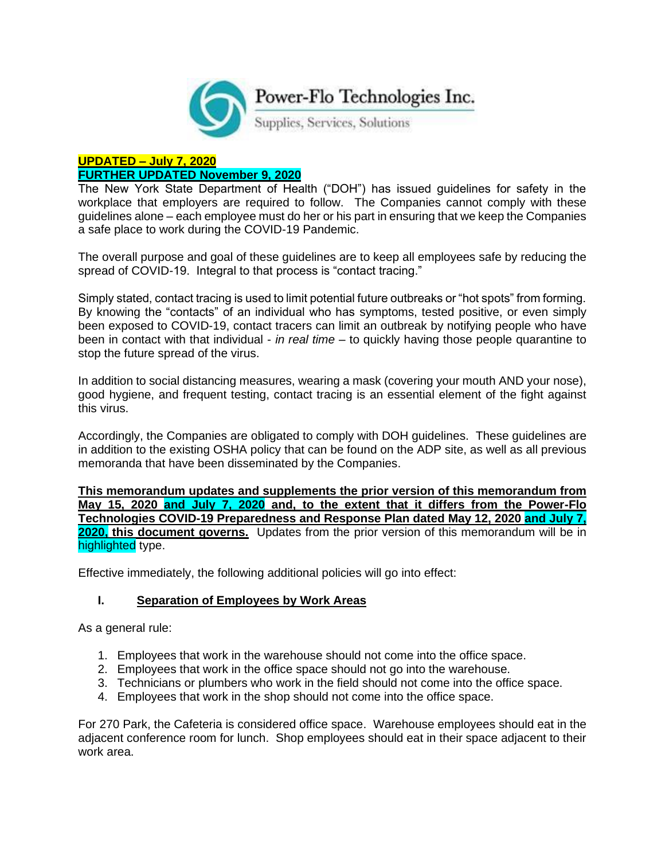

#### **UPDATED – July 7, 2020 FURTHER UPDATED November 9, 2020**

The New York State Department of Health ("DOH") has issued guidelines for safety in the workplace that employers are required to follow. The Companies cannot comply with these guidelines alone – each employee must do her or his part in ensuring that we keep the Companies a safe place to work during the COVID-19 Pandemic.

The overall purpose and goal of these guidelines are to keep all employees safe by reducing the spread of COVID-19. Integral to that process is "contact tracing."

Simply stated, contact tracing is used to limit potential future outbreaks or "hot spots" from forming. By knowing the "contacts" of an individual who has symptoms, tested positive, or even simply been exposed to COVID-19, contact tracers can limit an outbreak by notifying people who have been in contact with that individual - *in real time* – to quickly having those people quarantine to stop the future spread of the virus.

In addition to social distancing measures, wearing a mask (covering your mouth AND your nose), good hygiene, and frequent testing, contact tracing is an essential element of the fight against this virus.

Accordingly, the Companies are obligated to comply with DOH guidelines. These guidelines are in addition to the existing OSHA policy that can be found on the ADP site, as well as all previous memoranda that have been disseminated by the Companies.

**This memorandum updates and supplements the prior version of this memorandum from May 15, 2020 and July 7, 2020 and, to the extent that it differs from the Power-Flo Technologies COVID-19 Preparedness and Response Plan dated May 12, 2020 and July 7, 2020, this document governs.** Updates from the prior version of this memorandum will be in highlighted type.

Effective immediately, the following additional policies will go into effect:

#### **I. Separation of Employees by Work Areas**

As a general rule:

- 1. Employees that work in the warehouse should not come into the office space.
- 2. Employees that work in the office space should not go into the warehouse.
- 3. Technicians or plumbers who work in the field should not come into the office space.
- 4. Employees that work in the shop should not come into the office space.

For 270 Park, the Cafeteria is considered office space. Warehouse employees should eat in the adjacent conference room for lunch. Shop employees should eat in their space adjacent to their work area.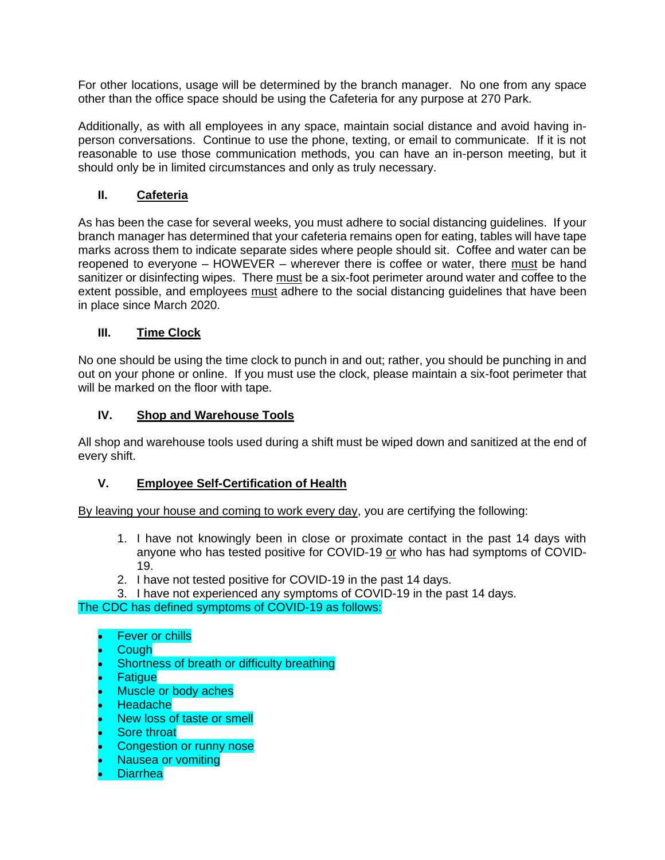For other locations, usage will be determined by the branch manager. No one from any space other than the office space should be using the Cafeteria for any purpose at 270 Park.

Additionally, as with all employees in any space, maintain social distance and avoid having inperson conversations. Continue to use the phone, texting, or email to communicate. If it is not reasonable to use those communication methods, you can have an in-person meeting, but it should only be in limited circumstances and only as truly necessary.

# **II. Cafeteria**

As has been the case for several weeks, you must adhere to social distancing guidelines. If your branch manager has determined that your cafeteria remains open for eating, tables will have tape marks across them to indicate separate sides where people should sit. Coffee and water can be reopened to everyone – HOWEVER – wherever there is coffee or water, there must be hand sanitizer or disinfecting wipes. There must be a six-foot perimeter around water and coffee to the extent possible, and employees must adhere to the social distancing guidelines that have been in place since March 2020.

# **III. Time Clock**

No one should be using the time clock to punch in and out; rather, you should be punching in and out on your phone or online. If you must use the clock, please maintain a six-foot perimeter that will be marked on the floor with tape.

# **IV. Shop and Warehouse Tools**

All shop and warehouse tools used during a shift must be wiped down and sanitized at the end of every shift.

### **V. Employee Self-Certification of Health**

By leaving your house and coming to work every day, you are certifying the following:

- 1. I have not knowingly been in close or proximate contact in the past 14 days with anyone who has tested positive for COVID-19 or who has had symptoms of COVID-19.
- 2. I have not tested positive for COVID-19 in the past 14 days.
- 3. I have not experienced any symptoms of COVID-19 in the past 14 days.

The CDC has defined symptoms of COVID-19 as follows:

- **Fever or chills**
- **Cough**
- Shortness of breath or difficulty breathing
- **Fatique**
- Muscle or body aches
- Headache
- New loss of taste or smell
- **Sore throat**
- Congestion or runny nose
- Nausea or vomiting
- Diarrhea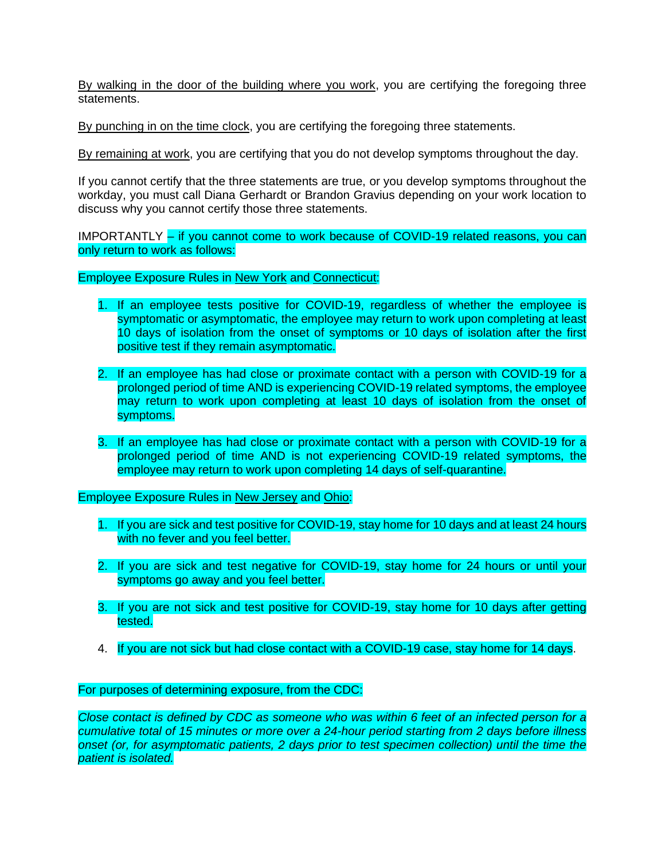By walking in the door of the building where you work, you are certifying the foregoing three statements.

By punching in on the time clock, you are certifying the foregoing three statements.

By remaining at work, you are certifying that you do not develop symptoms throughout the day.

If you cannot certify that the three statements are true, or you develop symptoms throughout the workday, you must call Diana Gerhardt or Brandon Gravius depending on your work location to discuss why you cannot certify those three statements.

IMPORTANTLY – if you cannot come to work because of COVID-19 related reasons, you can only return to work as follows:

Employee Exposure Rules in New York and Connecticut:

- 1. If an employee tests positive for COVID-19, regardless of whether the employee is symptomatic or asymptomatic, the employee may return to work upon completing at least 10 days of isolation from the onset of symptoms or 10 days of isolation after the first positive test if they remain asymptomatic.
- 2. If an employee has had close or proximate contact with a person with COVID-19 for a prolonged period of time AND is experiencing COVID-19 related symptoms, the employee may return to work upon completing at least 10 days of isolation from the onset of symptoms.
- 3. If an employee has had close or proximate contact with a person with COVID-19 for a prolonged period of time AND is not experiencing COVID-19 related symptoms, the employee may return to work upon completing 14 days of self-quarantine.

Employee Exposure Rules in New Jersey and Ohio:

- 1. If you are sick and test positive for COVID-19, stay home for 10 days and at least 24 hours with no fever and you feel better.
- 2. If you are sick and test negative for COVID-19, stay home for 24 hours or until your symptoms go away and you feel better.
- 3. If you are not sick and test positive for COVID-19, stay home for 10 days after getting tested.
- 4. If you are not sick but had close contact with a COVID-19 case, stay home for 14 days.

For purposes of determining exposure, from the CDC:

*Close contact is defined by CDC as someone who was within 6 feet of an infected person for a cumulative total of 15 minutes or more over a 24-hour period starting from 2 days before illness onset (or, for asymptomatic patients, 2 days prior to test specimen collection) until the time the patient is isolated.*